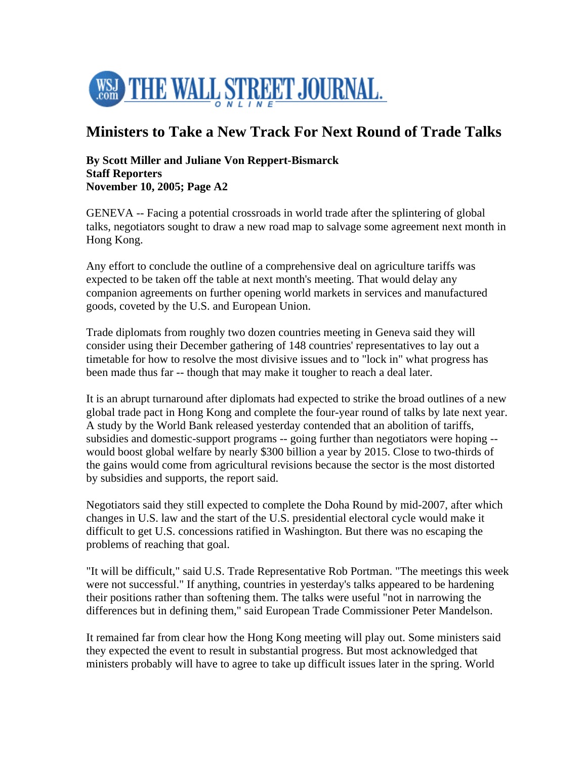

## **Ministers to Take a New Track For Next Round of Trade Talks**

## **By Scott Miller and Juliane Von Reppert-Bismarck Staff Reporters November 10, 2005; Page A2**

GENEVA -- Facing a potential crossroads in world trade after the splintering of global talks, negotiators sought to draw a new road map to salvage some agreement next month in Hong Kong.

Any effort to conclude the outline of a comprehensive deal on agriculture tariffs was expected to be taken off the table at next month's meeting. That would delay any companion agreements on further opening world markets in services and manufactured goods, coveted by the U.S. and European Union.

Trade diplomats from roughly two dozen countries meeting in Geneva said they will consider using their December gathering of 148 countries' representatives to lay out a timetable for how to resolve the most divisive issues and to "lock in" what progress has been made thus far -- though that may make it tougher to reach a deal later.

It is an abrupt turnaround after diplomats had expected to strike the broad outlines of a new global trade pact in Hong Kong and complete the four-year round of talks by late next year. A study by the World Bank released yesterday contended that an abolition of tariffs, subsidies and domestic-support programs -- going further than negotiators were hoping - would boost global welfare by nearly \$300 billion a year by 2015. Close to two-thirds of the gains would come from agricultural revisions because the sector is the most distorted by subsidies and supports, the report said.

Negotiators said they still expected to complete the Doha Round by mid-2007, after which changes in U.S. law and the start of the U.S. presidential electoral cycle would make it difficult to get U.S. concessions ratified in Washington. But there was no escaping the problems of reaching that goal.

"It will be difficult," said U.S. Trade Representative Rob Portman. "The meetings this week were not successful." If anything, countries in yesterday's talks appeared to be hardening their positions rather than softening them. The talks were useful "not in narrowing the differences but in defining them," said European Trade Commissioner Peter Mandelson.

It remained far from clear how the Hong Kong meeting will play out. Some ministers said they expected the event to result in substantial progress. But most acknowledged that ministers probably will have to agree to take up difficult issues later in the spring. World